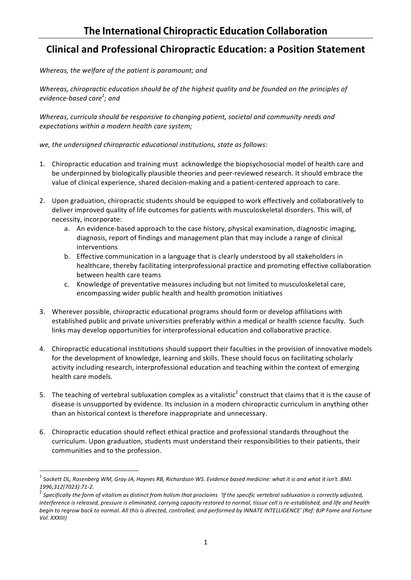## **Clinical and Professional Chiropractic Education: a Position Statement**

Whereas, the welfare of the patient is paramount; and

Whereas, chiropractic education should be of the highest quality and be founded on the principles of *evidence-based care<sup>1</sup> ; and*

Whereas, curricula should be responsive to changing patient, societal and community needs and *expectations within a modern health care system;*

we, the undersigned chiropractic educational institutions, state as follows:

- 1. Chiropractic education and training must acknowledge the biopsychosocial model of health care and be underpinned by biologically plausible theories and peer-reviewed research. It should embrace the value of clinical experience, shared decision-making and a patient-centered approach to care.
- 2. Upon graduation, chiropractic students should be equipped to work effectively and collaboratively to deliver improved quality of life outcomes for patients with musculoskeletal disorders. This will, of necessity, incorporate:
	- a. An evidence-based approach to the case history, physical examination, diagnostic imaging, diagnosis, report of findings and management plan that may include a range of clinical interventions
	- b. Effective communication in a language that is clearly understood by all stakeholders in healthcare, thereby facilitating interprofessional practice and promoting effective collaboration between health care teams
	- c. Knowledge of preventative measures including but not limited to musculoskeletal care, encompassing wider public health and health promotion initiatives
- 3. Wherever possible, chiropractic educational programs should form or develop affiliations with established public and private universities preferably within a medical or health science faculty. Such links may develop opportunities for interprofessional education and collaborative practice.
- 4. Chiropractic educational institutions should support their faculties in the provision of innovative models for the development of knowledge, learning and skills. These should focus on facilitating scholarly activity including research, interprofessional education and teaching within the context of emerging health care models.
- 5. The teaching of vertebral subluxation complex as a vitalistic<sup>2</sup> construct that claims that it is the cause of disease is unsupported by evidence. Its inclusion in a modern chiropractic curriculum in anything other than an historical context is therefore inappropriate and unnecessary.
- 6. Chiropractic education should reflect ethical practice and professional standards throughout the curriculum. Upon graduation, students must understand their responsibilities to their patients, their communities and to the profession.

<u> 1989 - Johann Barn, mars ann an t-Amhain an t-Amhain an t-Amhain an t-Amhain an t-Amhain an t-Amhain an t-Amh</u>

Sackett DL, Rosenberg WM, Gray JA, Haynes RB, Richardson WS. Evidence based medicine: what it is and what it isn't. BMJ.

<sup>1996;312(7023):71-2.&</sup>lt;br><sup>2</sup> Specifically the form of vitalism as distinct from holism that proclaims *'If the specific vertebral subluxation is correctly adjusted, interference is released, pressure is eliminated, carrying capacity restored to normal, tissue cell is re-established, and life and health* begin to regrow back to normal. All this is directed, controlled, and performed by INNATE INTELLIGENCE' (Ref: BJP Fame and Fortune *Vol. XXXIII)*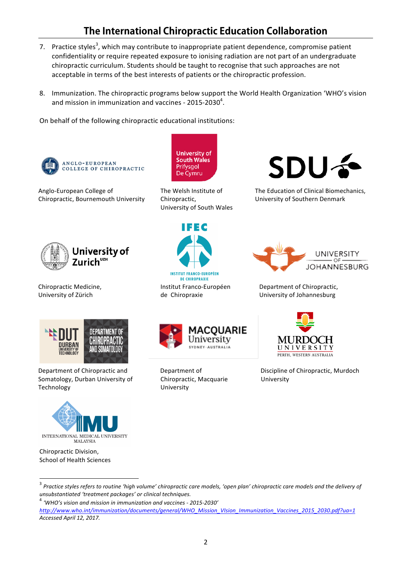## **The International Chiropractic Education Collaboration**

- 7. Practice styles<sup>3</sup>, which may contribute to inappropriate patient dependence, compromise patient confidentiality or require repeated exposure to ionising radiation are not part of an undergraduate chiropractic curriculum. Students should be taught to recognise that such approaches are not acceptable in terms of the best interests of patients or the chiropractic profession.
- 8. Immunization. The chiropractic programs below support the World Health Organization 'WHO's vision and mission in immunization and vaccines - 2015-2030 $^4$ .

On behalf of the following chiropractic educational institutions:



Anglo-European College of Chiropractic, Bournemouth University



Chiropractic Medicine, University of Zürich



Department of Chiropractic and Somatology, Durban University of Technology



Chiropractic Division, School of Health Sciences

The Welsh Institute of Chiropractic,

**University of** 

**South Wales** 

Prifysgol

De Cymru

University of South Wales



The Education of Clinical Biomechanics, University of Southern Denmark



 de Chiropraxie



Department of Chiropractic. University of Johannesburg



Department of Chiropractic, Macquarie University



Discipline of Chiropractic, Murdoch University

*Accessed April 12, 2017.*

<sup>&</sup>lt;sup>3</sup> Practice styles refers to routine 'high volume' chiropractic care models, 'open plan' chiropractic care models and the delivery of *unsubstantiated 'treatment packages' or clinical techniques.*

<sup>&</sup>lt;sup>4</sup> 'WHO's vision and mission in immunization and vaccines - 2015-2030' *http://www.who.int/immunization/documents/general/WHO\_Mission\_VIsion\_Immunization\_Vaccines\_2015\_2030.pdf?ua=1*